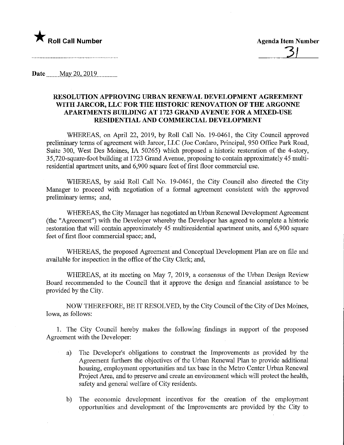

Date ........May 20,2019

## RESOLUTION APPROVING URBAN RENEWAL DEVELOPMENT AGREEMENT WITH JARCOR, LLC FOR THE HISTORIC RENOVATION OF THE ARGONNE APARTMENTS BUILDING AT 1723 GRAND AVENUE FOR A MIXED-USE RESIDENTIAL AND COMMERCIAL DEVELOPMENT

WHEREAS, on April 22, 2019, by Roll Call No. 19-0461, the City Council approved preliminary terms of agreement with Jarcor, LLC (Joe Cordaro, Principal, 950 Office Park Road, Suite 300, West Des Moines, IA 50265) which proposed a historic restoration of the 4-story, 35,720-square-foot building at 1723 Grand Avenue, proposing to contain approximately 45 multiresidential apartment units, and 6,900 square feet of first floor commercial use.

WHEREAS, by said Roll Call No. 19-0461, the City Council also directed the City Manager to proceed with negotiation of a formal agreement consistent with the approved preliminary terms; and,

WHEREAS, the City Manager has negotiated an Urban Renewal Development Agreement (the "Agreement") with the Developer whereby the Developer has agreed to complete a historic restoration that will contain approximately 45 multiresidential apartment units, and 6,900 square feet of first floor commercial space; and,

WHEREAS, the proposed Agreement and Conceptual Development Plan are on file and available for inspection in the office of the City Clerk; and,

WHEREAS, at its meeting on May 7, 2019, a consensus of the Urban Design Review Board recommended to the Council that it approve the design and financial assistance to be provided by the City.

NOW THEREFORE, BE IT RESOLVED, by the City Council of the City of Des Moines, Iowa, as follows:

1. The City Council hereby makes the following findings in support of the proposed Agreement with the Developer:

- a) The Developer's obligations to construct the Improvements as provided by the Agreement furthers the objectives of the Urban Renewal Plan to provide additional housing, employment opportunities and tax base in the Metro Center Urban Renewal Project Area, and to preserve and create an environment which will protect the health, safety and general welfare of City residents.
- b) The economic development incentives for the creation of the employment opportunities and development of the Improvements are provided by the City to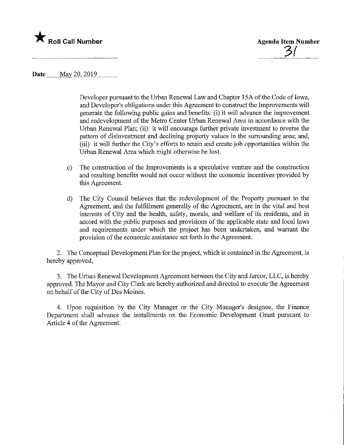

Date <u>May 20, 2019</u>

Developer pursuant to the Urban Renewal Law and Chapter 15A of the Code of Iowa, and Developer's obligations under this Agreement to construct the Improvements will generate the following public gains and benefits: (i) it will advance the improvement and redevelopment of the Metro Center Urban Renewal Area in accordance with the Urban Renewal Plan; (ii) it will encourage further private investment to reverse the pattern of disinvestment and declining property values in the surrounding area; and, (iii) it will further the City's efforts to retain and create job opportunities within the Urban Renewal Area which might otherwise be lost.

- c) The construction of the Improvements is a speculative venture and the construction and resulting benefits would not occur without the economic incentives provided by this Agreement.
- d) The City Council believes that the redevelopment of the Property pursuant to the Agreement, and the fulfillment generally of the Agreement, are in the vital and best interests of City and the health, safety, morals, and welfare of its residents, and in accord with the public purposes and provisions of the applicable state and local laws and requirements under which the project has been undertaken, and warrant the provision of the economic assistance set forth in the Agreement.

2. The Conceptual Development Plan for the project, which is contained in the Agreement, is hereby approved,

3. The Urban Renewal Development Agreement between the City and Jarcor, LLC, is hereby approved. The Mayor and City Clerk are hereby authorized and directed to execute the Agreement on behalf of the City of Des Moines.

4. Upon requisition by the City Manager or the City Manager's designee, the Finance Department shall advance the installments on the Economic Development Grant pursuant to Article 4 of the Agreement.